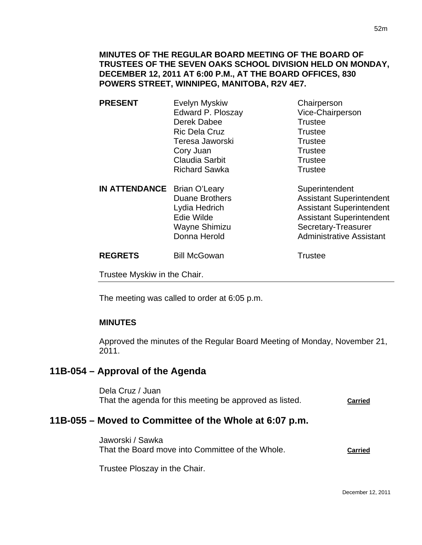#### **MINUTES OF THE REGULAR BOARD MEETING OF THE BOARD OF TRUSTEES OF THE SEVEN OAKS SCHOOL DIVISION HELD ON MONDAY, DECEMBER 12, 2011 AT 6:00 P.M., AT THE BOARD OFFICES, 830 POWERS STREET, WINNIPEG, MANITOBA, R2V 4E7.**

| <b>PRESENT</b>                     | <b>Evelyn Myskiw</b>  | Chairperson      |
|------------------------------------|-----------------------|------------------|
|                                    | Edward P. Ploszay     | Vice-Chairperson |
|                                    | Derek Dabee           | <b>Trustee</b>   |
|                                    | <b>Ric Dela Cruz</b>  | <b>Trustee</b>   |
|                                    | Teresa Jaworski       | <b>Trustee</b>   |
|                                    | Cory Juan             | <b>Trustee</b>   |
|                                    | <b>Claudia Sarbit</b> | <b>Trustee</b>   |
|                                    | <b>Richard Sawka</b>  | <b>Trustee</b>   |
| <b>IN ATTENDANCE</b> Brian O'Leary |                       | Superintendent   |

Duane Brothers **Assistant Superintendent** Lydia Hedrich **Assistant Superintendent** Edie Wilde **Assistant Superintendent** Wayne Shimizu **Secretary-Treasurer**<br>
Donna Herold **State State Administrative Assist** Administrative Assistant

**REGRETS** Bill McGowan **Bill McGowan** Trustee

Trustee Myskiw in the Chair.

The meeting was called to order at 6:05 p.m.

#### **MINUTES**

Approved the minutes of the Regular Board Meeting of Monday, November 21, 2011.

# **11B-054 – Approval of the Agenda**

Dela Cruz / Juan That the agenda for this meeting be approved as listed. **Carried**

# **11B-055 – Moved to Committee of the Whole at 6:07 p.m.**

Jaworski / Sawka That the Board move into Committee of the Whole. **Carried**

Trustee Ploszay in the Chair.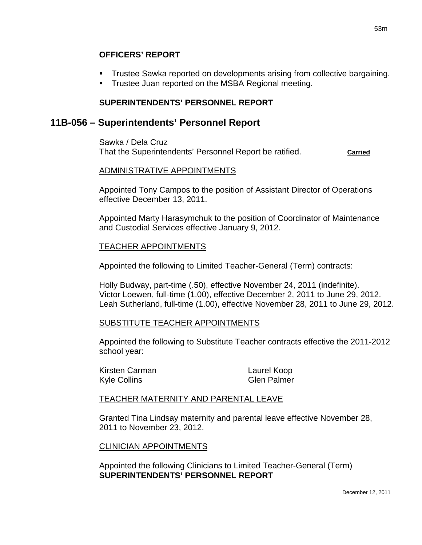- Trustee Sawka reported on developments arising from collective bargaining.
- **Trustee Juan reported on the MSBA Regional meeting.**

# **SUPERINTENDENTS' PERSONNEL REPORT**

# **11B-056 – Superintendents' Personnel Report**

Sawka / Dela Cruz That the Superintendents' Personnel Report be ratified. **Carried**

# ADMINISTRATIVE APPOINTMENTS

Appointed Tony Campos to the position of Assistant Director of Operations effective December 13, 2011.

Appointed Marty Harasymchuk to the position of Coordinator of Maintenance and Custodial Services effective January 9, 2012.

# TEACHER APPOINTMENTS

Appointed the following to Limited Teacher-General (Term) contracts:

Holly Budway, part-time (.50), effective November 24, 2011 (indefinite). Victor Loewen, full-time (1.00), effective December 2, 2011 to June 29, 2012. Leah Sutherland, full-time (1.00), effective November 28, 2011 to June 29, 2012.

# SUBSTITUTE TEACHER APPOINTMENTS

Appointed the following to Substitute Teacher contracts effective the 2011-2012 school year:

Kirsten Carman Laurel Koop Kyle Collins Glen Palmer

# TEACHER MATERNITY AND PARENTAL LEAVE

Granted Tina Lindsay maternity and parental leave effective November 28, 2011 to November 23, 2012.

# CLINICIAN APPOINTMENTS

Appointed the following Clinicians to Limited Teacher-General (Term) **SUPERINTENDENTS' PERSONNEL REPORT**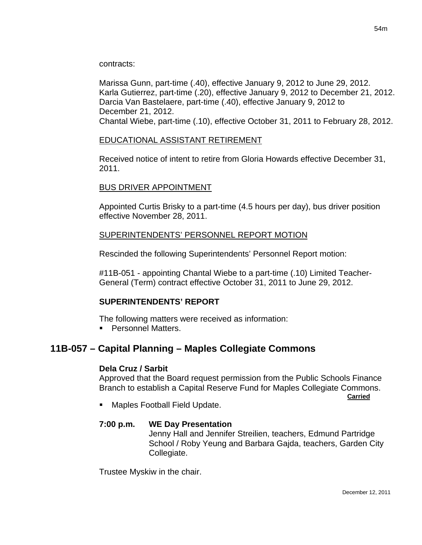contracts:

Marissa Gunn, part-time (.40), effective January 9, 2012 to June 29, 2012. Karla Gutierrez, part-time (.20), effective January 9, 2012 to December 21, 2012. Darcia Van Bastelaere, part-time (.40), effective January 9, 2012 to December 21, 2012. Chantal Wiebe, part-time (.10), effective October 31, 2011 to February 28, 2012.

### EDUCATIONAL ASSISTANT RETIREMENT

Received notice of intent to retire from Gloria Howards effective December 31, 2011.

### BUS DRIVER APPOINTMENT

Appointed Curtis Brisky to a part-time (4.5 hours per day), bus driver position effective November 28, 2011.

### SUPERINTENDENTS' PERSONNEL REPORT MOTION

Rescinded the following Superintendents' Personnel Report motion:

#11B-051 - appointing Chantal Wiebe to a part-time (.10) Limited Teacher-General (Term) contract effective October 31, 2011 to June 29, 2012.

#### **SUPERINTENDENTS' REPORT**

The following matters were received as information:

**Personnel Matters.** 

# **11B-057 – Capital Planning – Maples Collegiate Commons**

#### **Dela Cruz / Sarbit**

Approved that the Board request permission from the Public Schools Finance Branch to establish a Capital Reserve Fund for Maples Collegiate Commons.

*Carried* 

Maples Football Field Update.

#### **7:00 p.m. WE Day Presentation**

 Jenny Hall and Jennifer Streilien, teachers, Edmund Partridge School / Roby Yeung and Barbara Gajda, teachers, Garden City Collegiate.

Trustee Myskiw in the chair.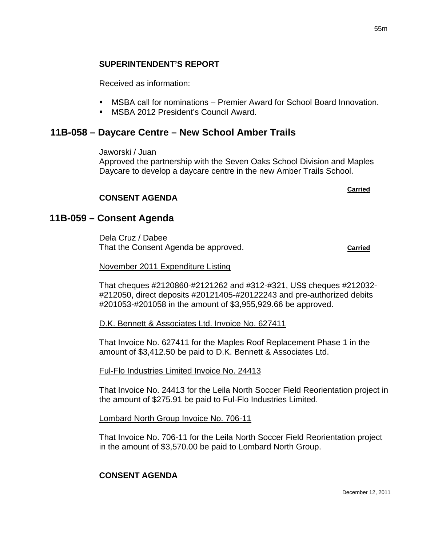### **SUPERINTENDENT'S REPORT**

Received as information:

- MSBA call for nominations Premier Award for School Board Innovation.
- **MSBA 2012 President's Council Award.**

# **11B-058 – Daycare Centre – New School Amber Trails**

Jaworski / Juan

Approved the partnership with the Seven Oaks School Division and Maples Daycare to develop a daycare centre in the new Amber Trails School.

**Carried Carried Carried Carried Carried Carried Carried Carried Carried Carried Carried Carried Carried Carried Carried Carried Carried Carried Carried Carried Carried Carried Carried Carried Carried Carried Carried Carri** 

#### **CONSENT AGENDA**

# **11B-059 – Consent Agenda**

Dela Cruz / Dabee That the Consent Agenda be approved. **Carried**

#### November 2011 Expenditure Listing

That cheques #2120860-#2121262 and #312-#321, US\$ cheques #212032- #212050, direct deposits #20121405-#20122243 and pre-authorized debits #201053-#201058 in the amount of \$3,955,929.66 be approved.

#### D.K. Bennett & Associates Ltd. Invoice No. 627411

That Invoice No. 627411 for the Maples Roof Replacement Phase 1 in the amount of \$3,412.50 be paid to D.K. Bennett & Associates Ltd.

#### Ful-Flo Industries Limited Invoice No. 24413

That Invoice No. 24413 for the Leila North Soccer Field Reorientation project in the amount of \$275.91 be paid to Ful-Flo Industries Limited.

Lombard North Group Invoice No. 706-11

That Invoice No. 706-11 for the Leila North Soccer Field Reorientation project in the amount of \$3,570.00 be paid to Lombard North Group.

#### **CONSENT AGENDA**

December 12, 2011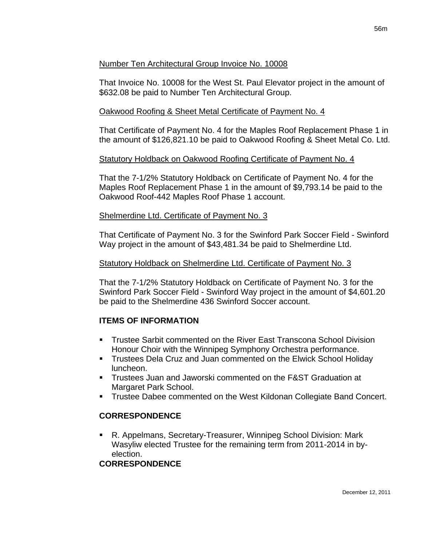# Number Ten Architectural Group Invoice No. 10008

That Invoice No. 10008 for the West St. Paul Elevator project in the amount of \$632.08 be paid to Number Ten Architectural Group.

# Oakwood Roofing & Sheet Metal Certificate of Payment No. 4

That Certificate of Payment No. 4 for the Maples Roof Replacement Phase 1 in the amount of \$126,821.10 be paid to Oakwood Roofing & Sheet Metal Co. Ltd.

# Statutory Holdback on Oakwood Roofing Certificate of Payment No. 4

That the 7-1/2% Statutory Holdback on Certificate of Payment No. 4 for the Maples Roof Replacement Phase 1 in the amount of \$9,793.14 be paid to the Oakwood Roof-442 Maples Roof Phase 1 account.

# Shelmerdine Ltd. Certificate of Payment No. 3

That Certificate of Payment No. 3 for the Swinford Park Soccer Field - Swinford Way project in the amount of \$43,481.34 be paid to Shelmerdine Ltd.

### Statutory Holdback on Shelmerdine Ltd. Certificate of Payment No. 3

That the 7-1/2% Statutory Holdback on Certificate of Payment No. 3 for the Swinford Park Soccer Field - Swinford Way project in the amount of \$4,601.20 be paid to the Shelmerdine 436 Swinford Soccer account.

# **ITEMS OF INFORMATION**

- Trustee Sarbit commented on the River East Transcona School Division Honour Choir with the Winnipeg Symphony Orchestra performance.
- Trustees Dela Cruz and Juan commented on the Elwick School Holiday luncheon.
- Trustees Juan and Jaworski commented on the F&ST Graduation at Margaret Park School.
- Trustee Dabee commented on the West Kildonan Collegiate Band Concert.

# **CORRESPONDENCE**

 R. Appelmans, Secretary-Treasurer, Winnipeg School Division: Mark Wasyliw elected Trustee for the remaining term from 2011-2014 in byelection.

# **CORRESPONDENCE**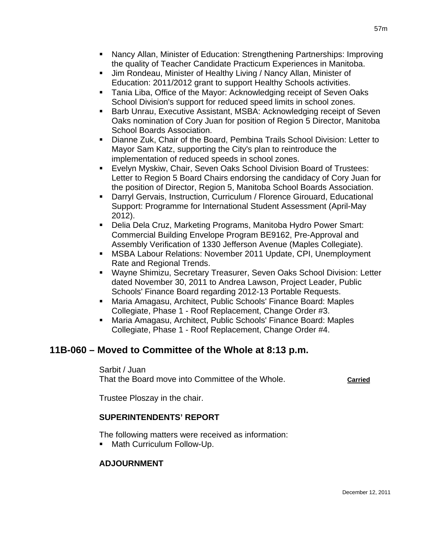- Nancy Allan, Minister of Education: Strengthening Partnerships: Improving the quality of Teacher Candidate Practicum Experiences in Manitoba.
- Jim Rondeau, Minister of Healthy Living / Nancy Allan, Minister of Education: 2011/2012 grant to support Healthy Schools activities.
- **Tania Liba, Office of the Mayor: Acknowledging receipt of Seven Oaks** School Division's support for reduced speed limits in school zones.
- **Barb Unrau, Executive Assistant, MSBA: Acknowledging receipt of Seven** Oaks nomination of Cory Juan for position of Region 5 Director, Manitoba School Boards Association.
- Dianne Zuk, Chair of the Board, Pembina Trails School Division: Letter to Mayor Sam Katz, supporting the City's plan to reintroduce the implementation of reduced speeds in school zones.
- Evelyn Myskiw, Chair, Seven Oaks School Division Board of Trustees: Letter to Region 5 Board Chairs endorsing the candidacy of Cory Juan for the position of Director, Region 5, Manitoba School Boards Association.
- Darryl Gervais, Instruction, Curriculum / Florence Girouard, Educational Support: Programme for International Student Assessment (April-May 2012).
- Delia Dela Cruz, Marketing Programs, Manitoba Hydro Power Smart: Commercial Building Envelope Program BE9162, Pre-Approval and Assembly Verification of 1330 Jefferson Avenue (Maples Collegiate).
- MSBA Labour Relations: November 2011 Update, CPI, Unemployment Rate and Regional Trends.
- Wayne Shimizu, Secretary Treasurer, Seven Oaks School Division: Letter dated November 30, 2011 to Andrea Lawson, Project Leader, Public Schools' Finance Board regarding 2012-13 Portable Requests.
- Maria Amagasu, Architect, Public Schools' Finance Board: Maples Collegiate, Phase 1 - Roof Replacement, Change Order #3.
- Maria Amagasu, Architect, Public Schools' Finance Board: Maples Collegiate, Phase 1 - Roof Replacement, Change Order #4.

# **11B-060 – Moved to Committee of the Whole at 8:13 p.m.**

Sarbit / Juan

That the Board move into Committee of the Whole. **Carried**

Trustee Ploszay in the chair.

# **SUPERINTENDENTS' REPORT**

The following matters were received as information:

**Math Curriculum Follow-Up.** 

# **ADJOURNMENT**